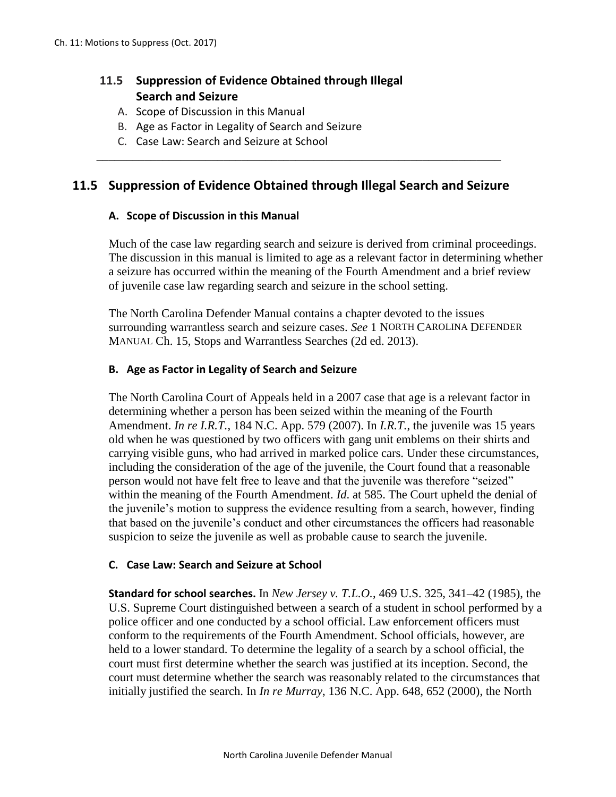# **11.5 Suppression of Evidence Obtained through Illegal Search and Seizure**

- A. Scope of Discussion in this Manual
- B. Age as Factor in Legality of Search and Seizure
- C. Case Law: Search and Seizure at School

# **11.5 Suppression of Evidence Obtained through Illegal Search and Seizure**

\_\_\_\_\_\_\_\_\_\_\_\_\_\_\_\_\_\_\_\_\_\_\_\_\_\_\_\_\_\_\_\_\_\_\_\_\_\_\_\_\_\_\_\_\_\_\_\_\_\_\_\_\_\_\_\_\_\_\_\_\_\_\_\_\_\_\_

### **A. Scope of Discussion in this Manual**

Much of the case law regarding search and seizure is derived from criminal proceedings. The discussion in this manual is limited to age as a relevant factor in determining whether a seizure has occurred within the meaning of the Fourth Amendment and a brief review of juvenile case law regarding search and seizure in the school setting.

The North Carolina Defender Manual contains a chapter devoted to the issues surrounding warrantless search and seizure cases. *See* 1 NORTH CAROLINA DEFENDER MANUAL Ch. 15, Stops and Warrantless Searches (2d ed. 2013).

### **B. Age as Factor in Legality of Search and Seizure**

The North Carolina Court of Appeals held in a 2007 case that age is a relevant factor in determining whether a person has been seized within the meaning of the Fourth Amendment. *In re I.R.T.*, 184 N.C. App. 579 (2007). In *I.R.T.*, the juvenile was 15 years old when he was questioned by two officers with gang unit emblems on their shirts and carrying visible guns, who had arrived in marked police cars. Under these circumstances, including the consideration of the age of the juvenile, the Court found that a reasonable person would not have felt free to leave and that the juvenile was therefore "seized" within the meaning of the Fourth Amendment. *Id*. at 585. The Court upheld the denial of the juvenile's motion to suppress the evidence resulting from a search, however, finding that based on the juvenile's conduct and other circumstances the officers had reasonable suspicion to seize the juvenile as well as probable cause to search the juvenile.

### **C. Case Law: Search and Seizure at School**

**Standard for school searches.** In *New Jersey v. T.L.O.*, 469 U.S. 325, 341–42 (1985), the U.S. Supreme Court distinguished between a search of a student in school performed by a police officer and one conducted by a school official. Law enforcement officers must conform to the requirements of the Fourth Amendment. School officials, however, are held to a lower standard. To determine the legality of a search by a school official, the court must first determine whether the search was justified at its inception. Second, the court must determine whether the search was reasonably related to the circumstances that initially justified the search. In *In re Murray*, 136 N.C. App. 648, 652 (2000), the North